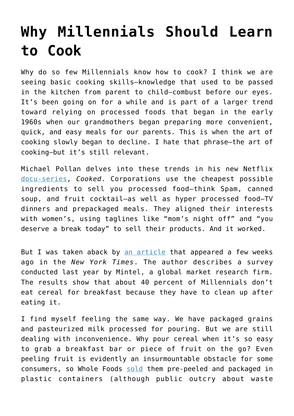## **[Why Millennials Should Learn](https://intellectualtakeout.org/2016/03/why-millennials-should-learn-to-cook/) [to Cook](https://intellectualtakeout.org/2016/03/why-millennials-should-learn-to-cook/)**

Why do so few Millennials know how to cook? I think we are seeing basic cooking skills—knowledge that used to be passed in the kitchen from parent to child—combust before our eyes. It's been going on for a while and is part of a larger trend toward relying on processed foods that began in the early 1960s when our grandmothers began preparing more convenient, quick, and easy meals for our parents. This is when the art of cooking slowly began to decline. I hate that phrase—the art of cooking—but it's still relevant.

Michael Pollan delves into these trends in his new Netflix [docu-series,](http://michaelpollan.com/videos/netflix-documentary-series-cooked/) *Cooked*. Corporations use the cheapest possible ingredients to sell you processed food—think Spam, canned soup, and fruit cocktail—as well as hyper processed food—TV dinners and prepackaged meals. They aligned their interests with women's, using taglines like "mom's night off" and "you deserve a break today" to sell their products. And it worked.

But I was taken aback by [an article](http://www.nytimes.com/2016/02/24/dining/breakfast-cereal.html?_r=1) that appeared a few weeks ago in the *New York Times*. The author describes a survey conducted last year by Mintel, a global market research firm. The results show that about 40 percent of Millennials don't eat cereal for breakfast because they have to clean up after eating it.

I find myself feeling the same way. We have packaged grains and pasteurized milk processed for pouring. But we are still dealing with inconvenience. Why pour cereal when it's so easy to grab a breakfast bar or piece of fruit on the go? Even peeling fruit is evidently an insurmountable obstacle for some consumers, so Whole Foods [sold](http://nypost.com/2016/03/05/whole-foods-apologizes-for-pre-peeled-oranges/) them pre-peeled and packaged in plastic containers (although public outcry about waste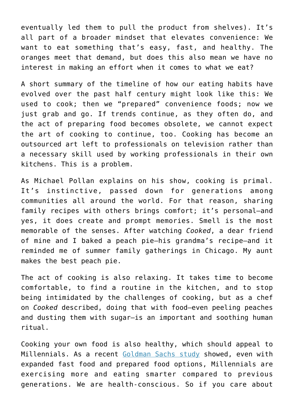eventually led them to pull the product from shelves). It's all part of a broader mindset that elevates convenience: We want to eat something that's easy, fast, and healthy. The oranges meet that demand, but does this also mean we have no interest in making an effort when it comes to what we eat?

A short summary of the timeline of how our eating habits have evolved over the past half century might look like this: We used to cook; then we "prepared" convenience foods; now we just grab and go. If trends continue, as they often do, and the act of preparing food becomes obsolete, we cannot expect the art of cooking to continue, too. Cooking has become an outsourced art left to professionals on television rather than a necessary skill used by working professionals in their own kitchens. This is a problem.

As Michael Pollan explains on his show, cooking is primal. It's instinctive, passed down for generations among communities all around the world. For that reason, sharing family recipes with others brings comfort; it's personal—and yes, it does create and prompt memories. Smell is the most memorable of the senses. After watching *Cooked*, a dear friend of mine and I baked a peach pie—his grandma's recipe—and it reminded me of summer family gatherings in Chicago. My aunt makes the best peach pie.

The act of cooking is also relaxing. It takes time to become comfortable, to find a routine in the kitchen, and to stop being intimidated by the challenges of cooking, but as a chef on *Cooked* described, doing that with food—even peeling peaches and dusting them with sugar—is an important and soothing human ritual.

Cooking your own food is also healthy, which should appeal to Millennials. As a recent [Goldman Sachs study](http://www.goldmansachs.com/our-thinking/pages/millennials/) showed, even with expanded fast food and prepared food options, Millennials are exercising more and eating smarter compared to previous generations. We are health-conscious. So if you care about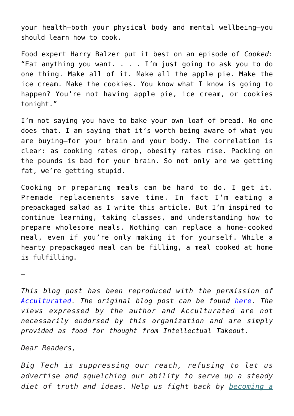your health—both your physical body and mental wellbeing—you should learn how to cook.

Food expert Harry Balzer put it best on an episode of *Cooked*: "Eat anything you want. . . . I'm just going to ask you to do one thing. Make all of it. Make all the apple pie. Make the ice cream. Make the cookies. You know what I know is going to happen? You're not having apple pie, ice cream, or cookies tonight."

I'm not saying you have to bake your own loaf of bread. No one does that. I am saying that it's worth being aware of what you are buying—for your brain and your body. The correlation is clear: as cooking rates drop, obesity rates rise. Packing on the pounds is bad for your brain. So not only are we getting fat, we're getting stupid.

Cooking or preparing meals can be hard to do. I get it. Premade replacements save time. In fact I'm eating a prepackaged salad as I write this article. But I'm inspired to continue learning, taking classes, and understanding how to prepare wholesome meals. Nothing can replace a home-cooked meal, even if you're only making it for yourself. While a hearty prepackaged meal can be filling, a meal cooked at home is fulfilling.

—

*This blog post has been reproduced with the permission of [Acculturated.](http://acculturated.com/) The original blog post can be found [here.](http://acculturated.com/millennials-should-learn-to-cook/) The views expressed by the author and Acculturated are not necessarily endorsed by this organization and are simply provided as food for thought from Intellectual Takeout.*

*Dear Readers,*

*Big Tech is suppressing our reach, refusing to let us advertise and squelching our ability to serve up a steady diet of truth and ideas. Help us fight back by [becoming a](https://www.chroniclesmagazine.org/subscribe/)*